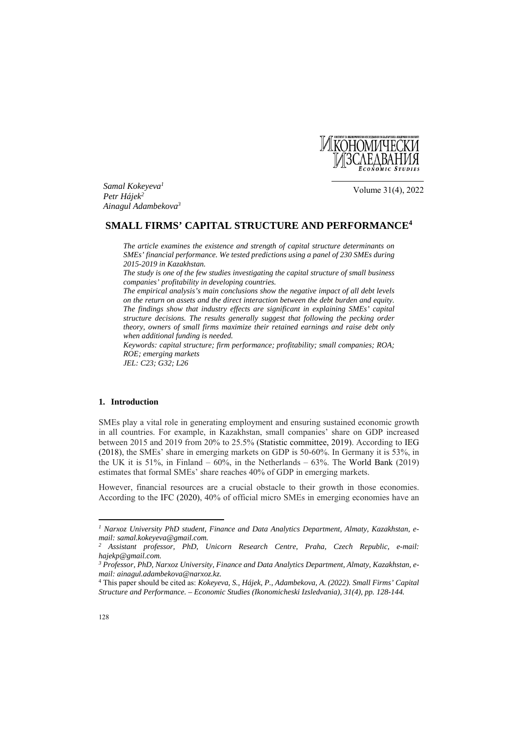

*Samal Kokeyeva1 Petr Hájek2 Ainagul Adambekova3*

Volume 31(4), 2022

# **SMALL FIRMS' CAPITAL STRUCTURE AND PERFORMANCE4**

*The article examines the existence and strength of capital structure determinants on SMEs' financial performance. We tested predictions using a panel of 230 SMEs during 2015-2019 in Kazakhstan.* 

*The study is one of the few studies investigating the capital structure of small business companies' profitability in developing countries.* 

*The empirical analysis's main conclusions show the negative impact of all debt levels on the return on assets and the direct interaction between the debt burden and equity. The findings show that industry effects are significant in explaining SMEs' capital structure decisions. The results generally suggest that following the pecking order theory, owners of small firms maximize their retained earnings and raise debt only when additional funding is needed.* 

*Keywords: capital structure; firm performance; profitability; small companies; ROA; ROE; emerging markets JEL: C23; G32; L26* 

#### **1. Introduction**

SMEs play a vital role in generating employment and ensuring sustained economic growth in all countries. For example, in Kazakhstan, small companies' share on GDP increased between 2015 and 2019 from 20% to 25.5% (Statistic committee, 2019). According to IEG (2018), the SMEs' share in emerging markets on GDP is 50-60%. In Germany it is 53%, in the UK it is  $51\%$ , in Finland –  $60\%$ , in the Netherlands –  $63\%$ . The World Bank (2019) estimates that formal SMEs' share reaches 40% of GDP in emerging markets.

However, financial resources are a crucial obstacle to their growth in those economies. According to the IFC (2020), 40% of official micro SMEs in emerging economies have an

 $\overline{\phantom{a}}$ 

*<sup>1</sup> Narxoz University PhD student, Finance and Data Analytics Department, Almaty, Kazakhstan, email: samal.kokeyeva@gmail.com.* 

*<sup>2</sup> Assistant professor, PhD, Unicorn Research Centre, Praha, Czech Republic, e-mail: hajekp@gmail.com.* 

*<sup>3</sup> Professor, PhD, Narxoz University, Finance and Data Analytics Department, Almaty, Kazakhstan, email: ainagul.adambekova@narxoz.kz.* 

<sup>4</sup> This paper should be cited as: *Kokeyeva, S., Hájek, P., Adambekova, A. (2022). Small Firms' Capital Structure and Performance. – Economic Studies (Ikonomicheski Izsledvania), 31(4), pp. 128-144.*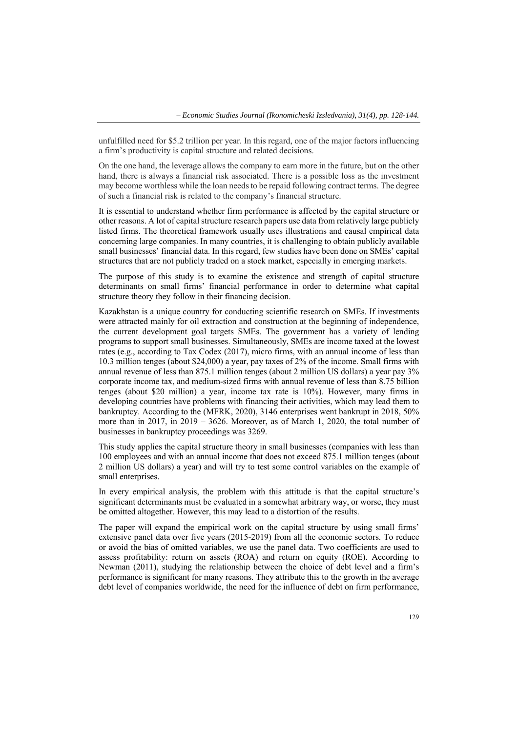unfulfilled need for \$5.2 trillion per year. In this regard, one of the major factors influencing a firm's productivity is capital structure and related decisions.

On the one hand, the leverage allows the company to earn more in the future, but on the other hand, there is always a financial risk associated. There is a possible loss as the investment may become worthless while the loan needs to be repaid following contract terms. The degree of such a financial risk is related to the company's financial structure.

It is essential to understand whether firm performance is affected by the capital structure or other reasons. A lot of capital structure research papers use data from relatively large publicly listed firms. The theoretical framework usually uses illustrations and causal empirical data concerning large companies. In many countries, it is challenging to obtain publicly available small businesses' financial data. In this regard, few studies have been done on SMEs' capital structures that are not publicly traded on a stock market, especially in emerging markets.

The purpose of this study is to examine the existence and strength of capital structure determinants on small firms' financial performance in order to determine what capital structure theory they follow in their financing decision.

Kazakhstan is a unique country for conducting scientific research on SMEs. If investments were attracted mainly for oil extraction and construction at the beginning of independence, the current development goal targets SMEs. The government has a variety of lending programs to support small businesses. Simultaneously, SMEs are income taxed at the lowest rates (e.g., according to Tax Codex (2017), micro firms, with an annual income of less than 10.3 million tenges (about \$24,000) a year, pay taxes of 2% of the income. Small firms with annual revenue of less than 875.1 million tenges (about 2 million US dollars) a year pay 3% corporate income tax, and medium-sized firms with annual revenue of less than 8.75 billion tenges (about \$20 million) a year, income tax rate is 10%). However, many firms in developing countries have problems with financing their activities, which may lead them to bankruptcy. According to the (MFRK, 2020), 3146 enterprises went bankrupt in 2018, 50% more than in 2017, in 2019 – 3626. Moreover, as of March 1, 2020, the total number of businesses in bankruptcy proceedings was 3269.

This study applies the capital structure theory in small businesses (companies with less than 100 employees and with an annual income that does not exceed 875.1 million tenges (about 2 million US dollars) a year) and will try to test some control variables on the example of small enterprises.

In every empirical analysis, the problem with this attitude is that the capital structure's significant determinants must be evaluated in a somewhat arbitrary way, or worse, they must be omitted altogether. However, this may lead to a distortion of the results.

The paper will expand the empirical work on the capital structure by using small firms' extensive panel data over five years (2015-2019) from all the economic sectors. To reduce or avoid the bias of omitted variables, we use the panel data. Two coefficients are used to assess profitability: return on assets (ROA) and return on equity (ROE). According to Newman (2011), studying the relationship between the choice of debt level and a firm's performance is significant for many reasons. They attribute this to the growth in the average debt level of companies worldwide, the need for the influence of debt on firm performance,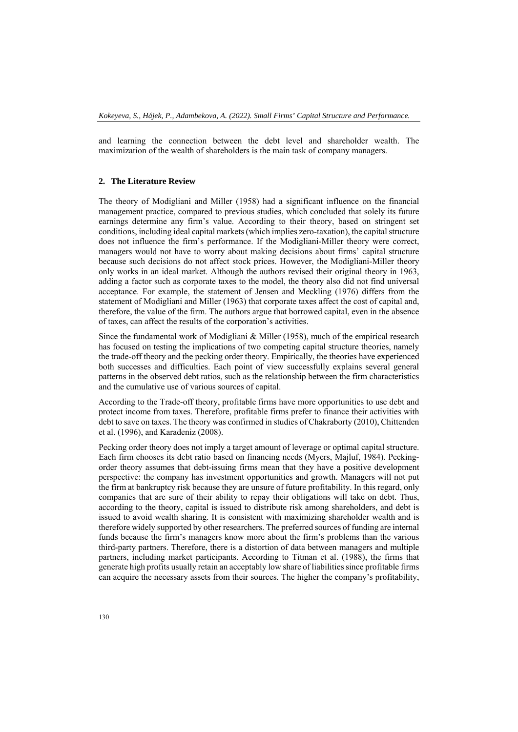and learning the connection between the debt level and shareholder wealth. The maximization of the wealth of shareholders is the main task of company managers.

## **2. The Literature Review**

The theory of Modigliani and Miller (1958) had a significant influence on the financial management practice, compared to previous studies, which concluded that solely its future earnings determine any firm's value. According to their theory, based on stringent set conditions, including ideal capital markets (which implies zero-taxation), the capital structure does not influence the firm's performance. If the Modigliani-Miller theory were correct, managers would not have to worry about making decisions about firms' capital structure because such decisions do not affect stock prices. However, the Modigliani-Miller theory only works in an ideal market. Although the authors revised their original theory in 1963, adding a factor such as corporate taxes to the model, the theory also did not find universal acceptance. For example, the statement of Jensen and Meckling (1976) differs from the statement of Modigliani and Miller (1963) that corporate taxes affect the cost of capital and, therefore, the value of the firm. The authors argue that borrowed capital, even in the absence of taxes, can affect the results of the corporation's activities.

Since the fundamental work of Modigliani & Miller (1958), much of the empirical research has focused on testing the implications of two competing capital structure theories, namely the trade-off theory and the pecking order theory. Empirically, the theories have experienced both successes and difficulties. Each point of view successfully explains several general patterns in the observed debt ratios, such as the relationship between the firm characteristics and the cumulative use of various sources of capital.

According to the Trade-off theory, profitable firms have more opportunities to use debt and protect income from taxes. Therefore, profitable firms prefer to finance their activities with debt to save on taxes. The theory was confirmed in studies of Chakraborty (2010), Chittenden et al. (1996), and Karadeniz (2008).

Pecking order theory does not imply a target amount of leverage or optimal capital structure. Each firm chooses its debt ratio based on financing needs (Myers, Majluf, 1984). Peckingorder theory assumes that debt-issuing firms mean that they have a positive development perspective: the company has investment opportunities and growth. Managers will not put the firm at bankruptcy risk because they are unsure of future profitability. In this regard, only companies that are sure of their ability to repay their obligations will take on debt. Thus, according to the theory, capital is issued to distribute risk among shareholders, and debt is issued to avoid wealth sharing. It is consistent with maximizing shareholder wealth and is therefore widely supported by other researchers. The preferred sources of funding are internal funds because the firm's managers know more about the firm's problems than the various third-party partners. Therefore, there is a distortion of data between managers and multiple partners, including market participants. According to Titman et al. (1988), the firms that generate high profits usually retain an acceptably low share of liabilities since profitable firms can acquire the necessary assets from their sources. The higher the company's profitability,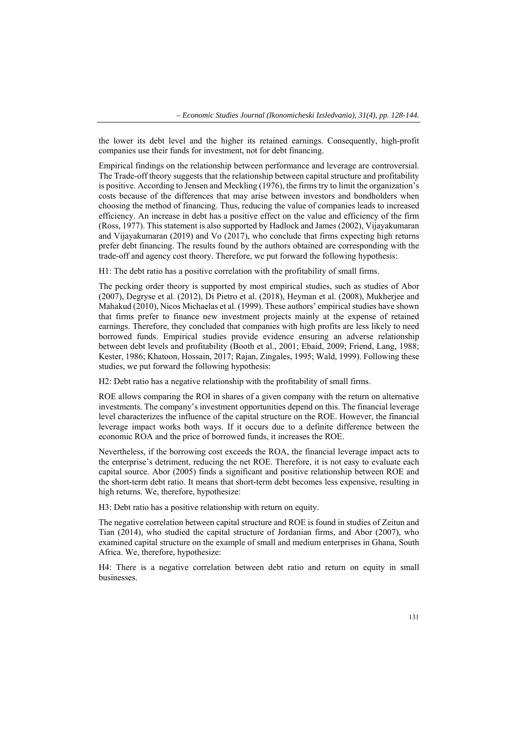the lower its debt level and the higher its retained earnings. Consequently, high-profit companies use their funds for investment, not for debt financing.

Empirical findings on the relationship between performance and leverage are controversial. The Trade-off theory suggests that the relationship between capital structure and profitability is positive. According to Jensen and Meckling (1976), the firms try to limit the organization's costs because of the differences that may arise between investors and bondholders when choosing the method of financing. Thus, reducing the value of companies leads to increased efficiency. An increase in debt has a positive effect on the value and efficiency of the firm (Ross, 1977). This statement is also supported by Hadlock and James (2002), Vijayakumaran and Vijayakumaran (2019) and Vo (2017), who conclude that firms expecting high returns prefer debt financing. The results found by the authors obtained are corresponding with the trade-off and agency cost theory. Therefore, we put forward the following hypothesis:

H1: The debt ratio has a positive correlation with the profitability of small firms.

The pecking order theory is supported by most empirical studies, such as studies of Abor (2007), Degryse et al. (2012), Di Pietro et al. (2018), Heyman et al. (2008), Mukherjee and Mahakud (2010), Nicos Michaelas et al. (1999). These authors' empirical studies have shown that firms prefer to finance new investment projects mainly at the expense of retained earnings. Therefore, they concluded that companies with high profits are less likely to need borrowed funds. Empirical studies provide evidence ensuring an adverse relationship between debt levels and profitability (Booth et al., 2001; Ebaid, 2009; Friend, Lang, 1988; Kester, 1986; Khatoon, Hossain, 2017; Rajan, Zingales, 1995; Wald, 1999). Following these studies, we put forward the following hypothesis:

H2: Debt ratio has a negative relationship with the profitability of small firms.

ROE allows comparing the ROI in shares of a given company with the return on alternative investments. The company's investment opportunities depend on this. The financial leverage level characterizes the influence of the capital structure on the ROE. However, the financial leverage impact works both ways. If it occurs due to a definite difference between the economic ROA and the price of borrowed funds, it increases the ROE.

Nevertheless, if the borrowing cost exceeds the ROA, the financial leverage impact acts to the enterprise's detriment, reducing the net ROE. Therefore, it is not easy to evaluate each capital source. Abor (2005) finds a significant and positive relationship between ROE and the short-term debt ratio. It means that short-term debt becomes less expensive, resulting in high returns. We, therefore, hypothesize:

H3: Debt ratio has a positive relationship with return on equity.

The negative correlation between capital structure and ROE is found in studies of Zeitun and Tian (2014), who studied the capital structure of Jordanian firms, and Abor (2007), who examined capital structure on the example of small and medium enterprises in Ghana, South Africa. We, therefore, hypothesize:

Н4: There is a negative correlation between debt ratio and return on equity in small businesses.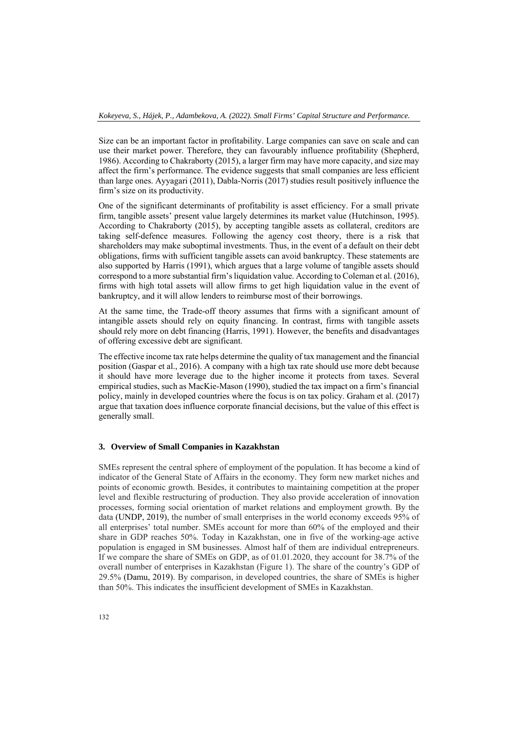Size can be an important factor in profitability. Large companies can save on scale and can use their market power. Therefore, they can favourably influence profitability (Shepherd, 1986). According to Chakraborty (2015), a larger firm may have more capacity, and size may affect the firm's performance. The evidence suggests that small companies are less efficient than large ones. Ayyagari (2011), Dabla-Norris (2017) studies result positively influence the firm's size on its productivity.

One of the significant determinants of profitability is asset efficiency. For a small private firm, tangible assets' present value largely determines its market value (Hutchinson, 1995). According to Chakraborty (2015), by accepting tangible assets as collateral, creditors are taking self-defence measures. Following the agency cost theory, there is a risk that shareholders may make suboptimal investments. Thus, in the event of a default on their debt obligations, firms with sufficient tangible assets can avoid bankruptcy. These statements are also supported by Harris (1991), which argues that a large volume of tangible assets should correspond to a more substantial firm's liquidation value. According to Coleman et al. (2016), firms with high total assets will allow firms to get high liquidation value in the event of bankruptcy, and it will allow lenders to reimburse most of their borrowings.

At the same time, the Trade-off theory assumes that firms with a significant amount of intangible assets should rely on equity financing. In contrast, firms with tangible assets should rely more on debt financing (Harris, 1991). However, the benefits and disadvantages of offering excessive debt are significant.

The effective income tax rate helps determine the quality of tax management and the financial position (Gaspar et al., 2016). A company with a high tax rate should use more debt because it should have more leverage due to the higher income it protects from taxes. Several empirical studies, such as MacKie‐Mason (1990), studied the tax impact on a firm's financial policy, mainly in developed countries where the focus is on tax policy. Graham et al. (2017) argue that taxation does influence corporate financial decisions, but the value of this effect is generally small.

### **3. Overview of Small Companies in Kazakhstan**

SMEs represent the central sphere of employment of the population. It has become a kind of indicator of the General State of Affairs in the economy. They form new market niches and points of economic growth. Besides, it contributes to maintaining competition at the proper level and flexible restructuring of production. They also provide acceleration of innovation processes, forming social orientation of market relations and employment growth. By the data (UNDP, 2019), the number of small enterprises in the world economy exceeds 95% of all enterprises' total number. SMEs account for more than 60% of the employed and their share in GDP reaches 50%. Today in Kazakhstan, one in five of the working-age active population is engaged in SM businesses. Almost half of them are individual entrepreneurs. If we compare the share of SMEs on GDP, as of 01.01.2020, they account for 38.7% of the overall number of enterprises in Kazakhstan (Figure 1). The share of the country's GDP of 29.5% (Damu, 2019). By comparison, in developed countries, the share of SMEs is higher than 50%. This indicates the insufficient development of SMEs in Kazakhstan.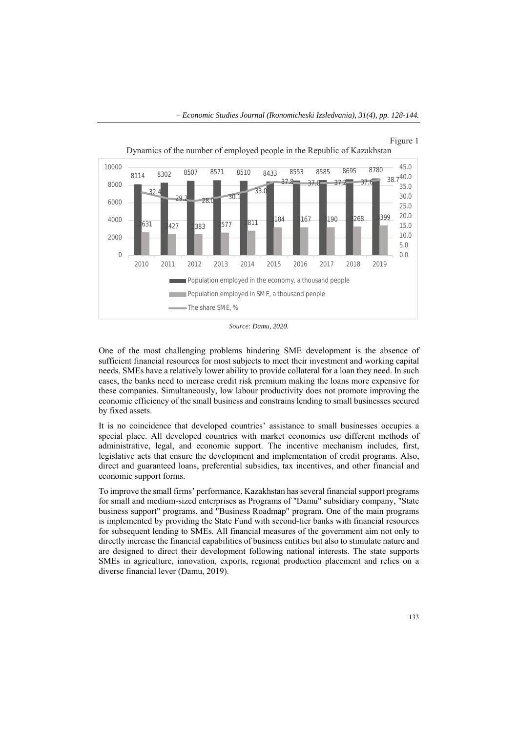

Figure 1

*Source: Damu, 2020.* 

One of the most challenging problems hindering SME development is the absence of sufficient financial resources for most subjects to meet their investment and working capital needs. SMEs have a relatively lower ability to provide collateral for a loan they need. In such cases, the banks need to increase credit risk premium making the loans more expensive for these companies. Simultaneously, low labour productivity does not promote improving the economic efficiency of the small business and constrains lending to small businesses secured by fixed assets.

It is no coincidence that developed countries' assistance to small businesses occupies a special place. All developed countries with market economies use different methods of administrative, legal, and economic support. The incentive mechanism includes, first, legislative acts that ensure the development and implementation of credit programs. Also, direct and guaranteed loans, preferential subsidies, tax incentives, and other financial and economic support forms.

To improve the small firms' performance, Kazakhstan has several financial support programs for small and medium-sized enterprises as Programs of "Damu" subsidiary company, "State business support" programs, and "Business Roadmap" program. One of the main programs is implemented by providing the State Fund with second-tier banks with financial resources for subsequent lending to SMEs. All financial measures of the government aim not only to directly increase the financial capabilities of business entities but also to stimulate nature and are designed to direct their development following national interests. The state supports SMEs in agriculture, innovation, exports, regional production placement and relies on a diverse financial lever (Damu, 2019).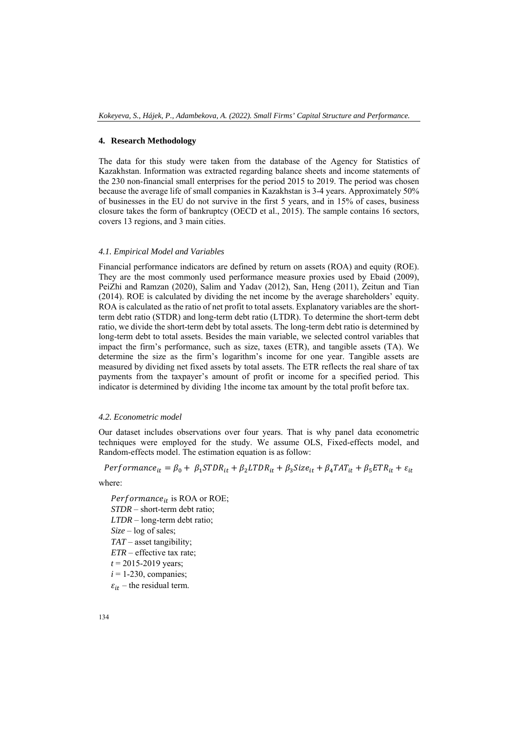### **4. Research Methodology**

The data for this study were taken from the database of the Agency for Statistics of Kazakhstan. Information was extracted regarding balance sheets and income statements of the 230 non-financial small enterprises for the period 2015 to 2019. The period was chosen because the average life of small companies in Kazakhstan is 3-4 years. Approximately 50% of businesses in the EU do not survive in the first 5 years, and in 15% of cases, business closure takes the form of bankruptcy (OECD et al., 2015). The sample contains 16 sectors, covers 13 regions, and 3 main cities.

## *4.1. Empirical Model and Variables*

Financial performance indicators are defined by return on assets (ROA) and equity (ROE). They are the most commonly used performance measure proxies used by Ebaid (2009), PeiZhi and Ramzan (2020), Salim and Yadav (2012), San, Heng (2011), Zeitun and Tian (2014). ROE is calculated by dividing the net income by the average shareholders' equity. ROA is calculated as the ratio of net profit to total assets. Explanatory variables are the shortterm debt ratio (STDR) and long-term debt ratio (LTDR). To determine the short-term debt ratio, we divide the short-term debt by total assets. The long-term debt ratio is determined by long-term debt to total assets. Besides the main variable, we selected control variables that impact the firm's performance, such as size, taxes (ETR), and tangible assets (TA). We determine the size as the firm's logarithm's income for one year. Tangible assets are measured by dividing net fixed assets by total assets. The ETR reflects the real share of tax payments from the taxpayer's amount of profit or income for a specified period. This indicator is determined by dividing 1the income tax amount by the total profit before tax.

### *4.2. Econometric model*

Our dataset includes observations over four years. That is why panel data econometric techniques were employed for the study. We assume OLS, Fixed-effects model, and Random-effects model. The estimation equation is as follow:

$$
Performance_{it} = \beta_0 + \beta_1 STDR_{it} + \beta_2 LTDR_{it} + \beta_3 Size_{it} + \beta_4 TAT_{it} + \beta_5 ETR_{it} + \varepsilon_{it}
$$

where:

 $Performance_{it}$  is ROA or ROE; *STDR* – short-term debt ratio; *LTDR* – long-term debt ratio; *Size* – log of sales; *TAT* – asset tangibility; *ETR* – effective tax rate;  $t = 2015 - 2019$  years;  $i = 1-230$ , companies;  $\varepsilon_{it}$  – the residual term.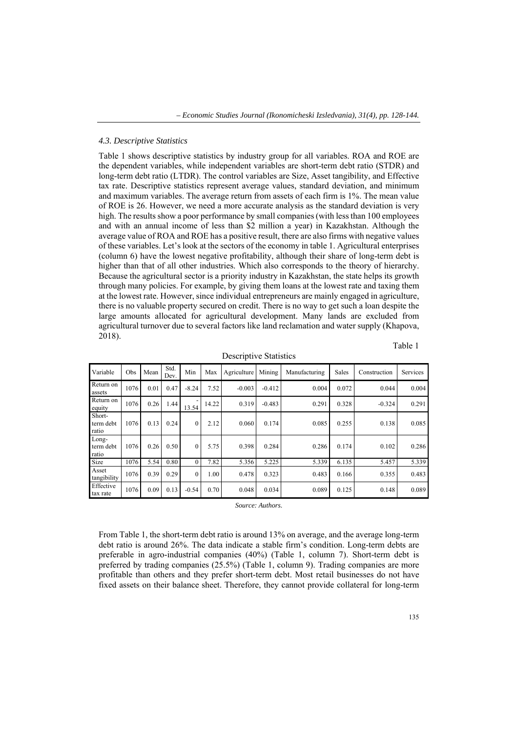### *4.3. Descriptive Statistics*

Table 1 shows descriptive statistics by industry group for all variables. ROA and ROE are the dependent variables, while independent variables are short-term debt ratio (STDR) and long-term debt ratio (LTDR). The control variables are Size, Asset tangibility, and Effective tax rate. Descriptive statistics represent average values, standard deviation, and minimum and maximum variables. The average return from assets of each firm is 1%. The mean value of ROE is 26. However, we need a more accurate analysis as the standard deviation is very high. The results show a poor performance by small companies (with less than 100 employees and with an annual income of less than \$2 million a year) in Kazakhstan. Although the average value of ROA and ROE has a positive result, there are also firms with negative values of these variables. Let's look at the sectors of the economy in table 1. Agricultural enterprises (column 6) have the lowest negative profitability, although their share of long-term debt is higher than that of all other industries. Which also corresponds to the theory of hierarchy. Because the agricultural sector is a priority industry in Kazakhstan, the state helps its growth through many policies. For example, by giving them loans at the lowest rate and taxing them at the lowest rate. However, since individual entrepreneurs are mainly engaged in agriculture, there is no valuable property secured on credit. There is no way to get such a loan despite the large amounts allocated for agricultural development. Many lands are excluded from agricultural turnover due to several factors like land reclamation and water supply (Khapova, 2018).

Table 1

| Variable                     | Obs  | Mean | Std.<br>Dev. | Min              | Max   | Agriculture | Mining   | Manufacturing | Sales | Construction | Services |
|------------------------------|------|------|--------------|------------------|-------|-------------|----------|---------------|-------|--------------|----------|
| Return on<br>assets          | 1076 | 0.01 | 0.47         | $-8.24$          | 7.52  | $-0.003$    | $-0.412$ | 0.004         | 0.072 | 0.044        | 0.004    |
| Return on<br>equity          | 1076 | 0.26 | 1.44         | 13.54            | 14.22 | 0.319       | $-0.483$ | 0.291         | 0.328 | $-0.324$     | 0.291    |
| Short-<br>term debt<br>ratio | 1076 | 0.13 | 0.24         | $\boldsymbol{0}$ | 2.12  | 0.060       | 0.174    | 0.085         | 0.255 | 0.138        | 0.085    |
| Long-<br>term debt<br>ratio  | 1076 | 0.26 | 0.50         | $\theta$         | 5.75  | 0.398       | 0.284    | 0.286         | 0.174 | 0.102        | 0.286    |
| Size                         | 1076 | 5.54 | 0.80         | $\mathbf{0}$     | 7.82  | 5.356       | 5.225    | 5.339         | 6.135 | 5.457        | 5.339    |
| Asset<br>tangibility         | 1076 | 0.39 | 0.29         | $\mathbf{0}$     | 1.00  | 0.478       | 0.323    | 0.483         | 0.166 | 0.355        | 0.483    |
| Effective<br>tax rate        | 1076 | 0.09 | 0.13         | $-0.54$          | 0.70  | 0.048       | 0.034    | 0.089         | 0.125 | 0.148        | 0.089    |

Descriptive Statistics

*Source: Authors.* 

From Table 1, the short-term debt ratio is around 13% on average, and the average long-term debt ratio is around 26%. The data indicate a stable firm's condition. Long-term debts are preferable in agro-industrial companies (40%) (Table 1, column 7). Short-term debt is preferred by trading companies (25.5%) (Table 1, column 9). Trading companies are more profitable than others and they prefer short-term debt. Most retail businesses do not have fixed assets on their balance sheet. Therefore, they cannot provide collateral for long-term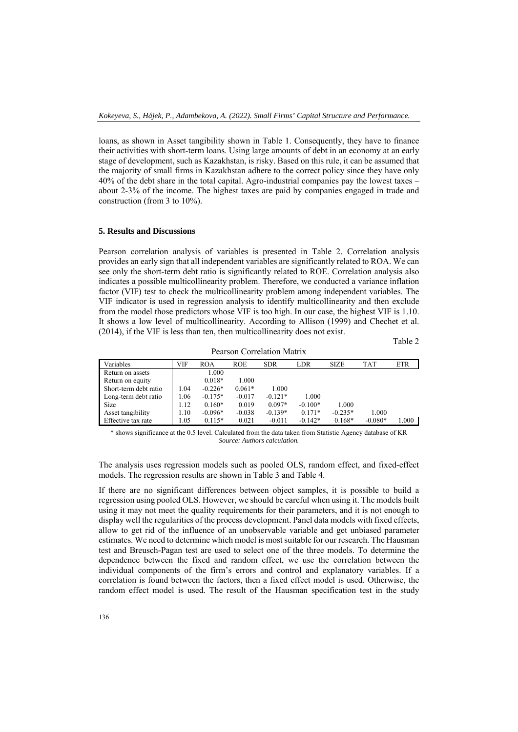loans, as shown in Asset tangibility shown in Table 1. Consequently, they have to finance their activities with short-term loans. Using large amounts of debt in an economy at an early stage of development, such as Kazakhstan, is risky. Based on this rule, it can be assumed that the majority of small firms in Kazakhstan adhere to the correct policy since they have only 40% of the debt share in the total capital. Agro-industrial companies pay the lowest taxes – about 2-3% of the income. The highest taxes are paid by companies engaged in trade and construction (from 3 to 10%).

#### **5. Results and Discussions**

Pearson correlation analysis of variables is presented in Table 2. Correlation analysis provides an early sign that all independent variables are significantly related to ROA. We can see only the short-term debt ratio is significantly related to ROE. Correlation analysis also indicates a possible multicollinearity problem. Therefore, we conducted a variance inflation factor (VIF) test to check the multicollinearity problem among independent variables. The VIF indicator is used in regression analysis to identify multicollinearity and then exclude from the model those predictors whose VIF is too high. In our case, the highest VIF is 1.10. It shows a low level of multicollinearity. According to Allison (1999) and Chechet et al. (2014), if the VIF is less than ten, then multicollinearity does not exist.

Table 2

| T CAISON CONTCRETON IVIALIA |      |           |            |            |           |             |            |            |
|-----------------------------|------|-----------|------------|------------|-----------|-------------|------------|------------|
| Variables                   | VIF  | ROA       | <b>ROE</b> | <b>SDR</b> | LDR       | <b>SIZE</b> | <b>TAT</b> | <b>ETR</b> |
| Return on assets            |      | 1.000     |            |            |           |             |            |            |
| Return on equity            |      | $0.018*$  | 1.000      |            |           |             |            |            |
| Short-term debt ratio       | 1.04 | $-0.226*$ | $0.061*$   | 1.000      |           |             |            |            |
| Long-term debt ratio        | 1.06 | $-0.175*$ | $-0.017$   | $-0.121*$  | 1.000     |             |            |            |
| Size                        | 1.12 | $0.160*$  | 0.019      | $0.097*$   | $-0.100*$ | 1.000       |            |            |
| Asset tangibility           | 1.10 | $-0.096*$ | $-0.038$   | $-0.139*$  | $0.171*$  | $-0.235*$   | 1.000      |            |
| Effective tax rate          | 1.05 | $0.115*$  | 0.021      | $-0.011$   | $-0.142*$ | $0.168*$    | $-0.080*$  | 000.1      |

Pearson Correlation Matrix

\* shows significance at the 0.5 level. Calculated from the data taken from Statistic Agency database of KR *Source: Authors calculation.* 

The analysis uses regression models such as pooled OLS, random effect, and fixed-effect models. The regression results are shown in Table 3 and Table 4.

If there are no significant differences between object samples, it is possible to build a regression using pooled OLS. However, we should be careful when using it. The models built using it may not meet the quality requirements for their parameters, and it is not enough to display well the regularities of the process development. Panel data models with fixed effects, allow to get rid of the influence of an unobservable variable and get unbiased parameter estimates. We need to determine which model is most suitable for our research. The Hausman test and Breusch-Pagan test are used to select one of the three models. To determine the dependence between the fixed and random effect, we use the correlation between the individual components of the firm's errors and control and explanatory variables. If a correlation is found between the factors, then a fixed effect model is used. Otherwise, the random effect model is used. The result of the Hausman specification test in the study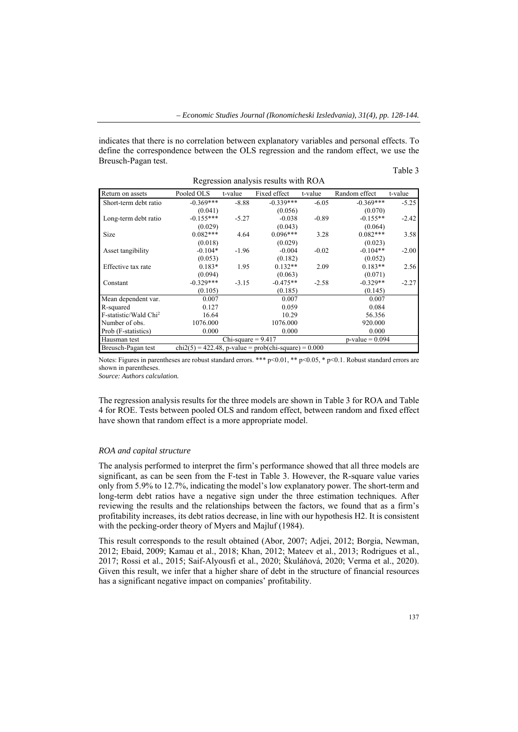indicates that there is no correlation between explanatory variables and personal effects. To define the correspondence between the OLS regression and the random effect, we use the Breusch-Pagan test.

#### Table 3

| Regression analysis results with ROA                                          |             |                    |              |         |               |         |  |  |
|-------------------------------------------------------------------------------|-------------|--------------------|--------------|---------|---------------|---------|--|--|
| Return on assets                                                              | Pooled OLS  | t-value            | Fixed effect | t-value | Random effect | t-value |  |  |
| Short-term debt ratio                                                         | $-0.369***$ | $-8.88$            | $-0.339***$  | $-6.05$ | $-0.369***$   | $-5.25$ |  |  |
|                                                                               | (0.041)     |                    | (0.056)      |         | (0.070)       |         |  |  |
| Long-term debt ratio                                                          | $-0.155***$ | $-5.27$            | $-0.038$     | $-0.89$ | $-0.155**$    | $-2.42$ |  |  |
|                                                                               | (0.029)     |                    | (0.043)      |         | (0.064)       |         |  |  |
| Size                                                                          | $0.082***$  | 4.64               | $0.096***$   | 3.28    | $0.082***$    | 3.58    |  |  |
|                                                                               | (0.018)     |                    | (0.029)      |         | (0.023)       |         |  |  |
| Asset tangibility                                                             | $-0.104*$   | $-1.96$            | $-0.004$     | $-0.02$ | $-0.104**$    | $-2.00$ |  |  |
|                                                                               | (0.053)     |                    | (0.182)      |         | (0.052)       |         |  |  |
| Effective tax rate                                                            | $0.183*$    | 1.95               | $0.132**$    | 2.09    | $0.183**$     | 2.56    |  |  |
|                                                                               | (0.094)     |                    | (0.063)      |         | (0.071)       |         |  |  |
| Constant                                                                      | $-0.329***$ | $-3.15$            | $-0.475**$   | $-2.58$ | $-0.329**$    | $-2.27$ |  |  |
|                                                                               | (0.105)     |                    | (0.185)      |         | (0.145)       |         |  |  |
| Mean dependent var.                                                           | 0.007       |                    | 0.007        |         | 0.007         |         |  |  |
| R-squared                                                                     | 0.127       |                    | 0.059        |         | 0.084         |         |  |  |
| F-statistic/Wald Chi <sup>2</sup>                                             | 16.64       |                    | 10.29        |         | 56.356        |         |  |  |
| Number of obs.                                                                | 1076.000    |                    | 1076.000     |         | 920.000       |         |  |  |
| Prob (F-statistics)                                                           | 0.000       |                    | 0.000        |         | 0.000         |         |  |  |
| Hausman test                                                                  |             | $p$ -value = 0.094 |              |         |               |         |  |  |
| Breusch-Pagan test<br>$chi(2(5) = 422.48, p-value = prob(chi-square) = 0.000$ |             |                    |              |         |               |         |  |  |

Notes: Figures in parentheses are robust standard errors. \*\*\* p<0.01, \*\* p<0.05, \* p<0.1. Robust standard errors are shown in parentheses.

*Source: Authors calculation.* 

The regression analysis results for the three models are shown in Table 3 for ROA and Table 4 for ROE. Tests between pooled OLS and random effect, between random and fixed effect have shown that random effect is a more appropriate model.

#### *ROA and capital structure*

The analysis performed to interpret the firm's performance showed that all three models are significant, as can be seen from the F-test in Table 3. However, the R-square value varies only from 5.9% to 12.7%, indicating the model's low explanatory power. The short-term and long-term debt ratios have a negative sign under the three estimation techniques. After reviewing the results and the relationships between the factors, we found that as a firm's profitability increases, its debt ratios decrease, in line with our hypothesis H2. It is consistent with the pecking-order theory of Myers and Majluf (1984).

This result corresponds to the result obtained (Abor, 2007; Adjei, 2012; Borgia, Newman, 2012; Ebaid, 2009; Kamau et al., 2018; Khan, 2012; Mateev et al., 2013; Rodrigues et al., 2017; Rossi et al., 2015; Saif-Alyousfi et al., 2020; Škuláňová, 2020; Verma et al., 2020). Given this result, we infer that a higher share of debt in the structure of financial resources has a significant negative impact on companies' profitability.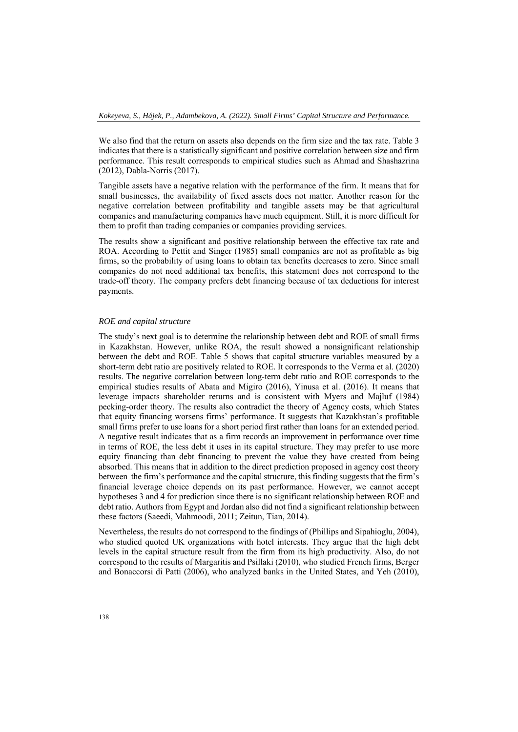We also find that the return on assets also depends on the firm size and the tax rate. Table 3 indicates that there is a statistically significant and positive correlation between size and firm performance. This result corresponds to empirical studies such as Ahmad and Shashazrina (2012), Dabla-Norris (2017).

Tangible assets have a negative relation with the performance of the firm. It means that for small businesses, the availability of fixed assets does not matter. Another reason for the negative correlation between profitability and tangible assets may be that agricultural companies and manufacturing companies have much equipment. Still, it is more difficult for them to profit than trading companies or companies providing services.

The results show a significant and positive relationship between the effective tax rate and ROA. According to Pettit and Singer (1985) small companies are not as profitable as big firms, so the probability of using loans to obtain tax benefits decreases to zero. Since small companies do not need additional tax benefits, this statement does not correspond to the trade-off theory. The company prefers debt financing because of tax deductions for interest payments.

### *ROE and capital structure*

The study's next goal is to determine the relationship between debt and ROE of small firms in Kazakhstan. However, unlike ROA, the result showed a nonsignificant relationship between the debt and ROE. Table 5 shows that capital structure variables measured by a short-term debt ratio are positively related to ROE. It corresponds to the Verma et al. (2020) results. The negative correlation between long-term debt ratio and ROE corresponds to the empirical studies results of Abata and Migiro (2016), Yinusa et al. (2016). It means that leverage impacts shareholder returns and is consistent with Myers and Majluf (1984) pecking-order theory. The results also contradict the theory of Agency costs, which States that equity financing worsens firms' performance. It suggests that Kazakhstan's profitable small firms prefer to use loans for a short period first rather than loans for an extended period. A negative result indicates that as a firm records an improvement in performance over time in terms of ROE, the less debt it uses in its capital structure. They may prefer to use more equity financing than debt financing to prevent the value they have created from being absorbed. This means that in addition to the direct prediction proposed in agency cost theory between the firm's performance and the capital structure, this finding suggests that the firm's financial leverage choice depends on its past performance. However, we cannot accept hypotheses 3 and 4 for prediction since there is no significant relationship between ROE and debt ratio. Authors from Egypt and Jordan also did not find a significant relationship between these factors (Saeedi, Mahmoodi, 2011; Zeitun, Tian, 2014).

Nevertheless, the results do not correspond to the findings of (Phillips and Sipahioglu, 2004), who studied quoted UK organizations with hotel interests. They argue that the high debt levels in the capital structure result from the firm from its high productivity. Also, do not correspond to the results of Margaritis and Psillaki (2010), who studied French firms, Berger and Bonaccorsi di Patti (2006), who analyzed banks in the United States, and Yeh (2010),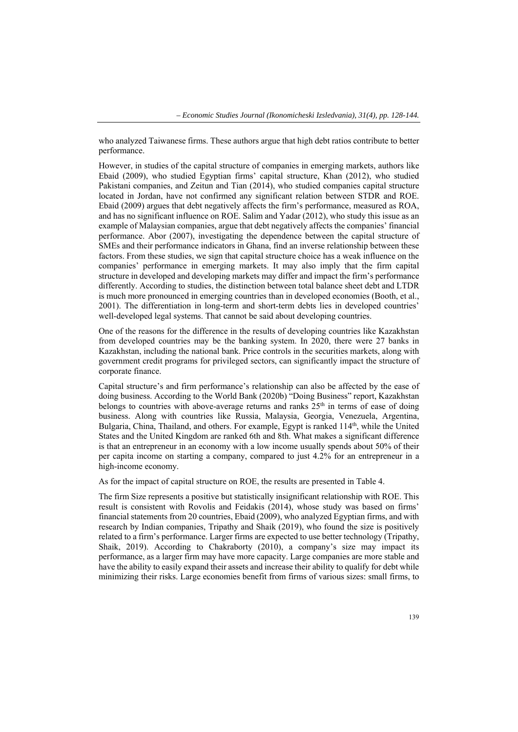who analyzed Taiwanese firms. These authors argue that high debt ratios contribute to better performance.

However, in studies of the capital structure of companies in emerging markets, authors like Ebaid (2009), who studied Egyptian firms' capital structure, Khan (2012), who studied Pakistani companies, and Zeitun and Tian (2014), who studied companies capital structure located in Jordan, have not confirmed any significant relation between STDR and ROE. Ebaid (2009) argues that debt negatively affects the firm's performance, measured as ROA, and has no significant influence on ROE. Salim and Yadar (2012), who study this issue as an example of Malaysian companies, argue that debt negatively affects the companies' financial performance. Abor (2007), investigating the dependence between the capital structure of SMEs and their performance indicators in Ghana, find an inverse relationship between these factors. From these studies, we sign that capital structure choice has a weak influence on the companies' performance in emerging markets. It may also imply that the firm capital structure in developed and developing markets may differ and impact the firm's performance differently. According to studies, the distinction between total balance sheet debt and LTDR is much more pronounced in emerging countries than in developed economies (Booth, et al., 2001). The differentiation in long-term and short-term debts lies in developed countries' well-developed legal systems. That cannot be said about developing countries.

One of the reasons for the difference in the results of developing countries like Kazakhstan from developed countries may be the banking system. In 2020, there were 27 banks in Kazakhstan, including the national bank. Price controls in the securities markets, along with government credit programs for privileged sectors, can significantly impact the structure of corporate finance.

Capital structure's and firm performance's relationship can also be affected by the ease of doing business. According to the World Bank (2020b) "Doing Business" report, Kazakhstan belongs to countries with above-average returns and ranks  $25<sup>th</sup>$  in terms of ease of doing business. Along with countries like Russia, Malaysia, Georgia, Venezuela, Argentina, Bulgaria, China, Thailand, and others. For example, Egypt is ranked 114<sup>th</sup>, while the United States and the United Kingdom are ranked 6th and 8th. What makes a significant difference is that an entrepreneur in an economy with a low income usually spends about 50% of their per capita income on starting a company, compared to just 4.2% for an entrepreneur in a high-income economy.

As for the impact of capital structure on ROE, the results are presented in Table 4.

The firm Size represents a positive but statistically insignificant relationship with ROE. This result is consistent with Rovolis and Feidakis (2014), whose study was based on firms' financial statements from 20 countries, Ebaid (2009), who analyzed Egyptian firms, and with research by Indian companies, Tripathy and Shaik (2019), who found the size is positively related to a firm's performance. Larger firms are expected to use better technology (Tripathy, Shaik, 2019). According to Chakraborty (2010), a company's size may impact its performance, as a larger firm may have more capacity. Large companies are more stable and have the ability to easily expand their assets and increase their ability to qualify for debt while minimizing their risks. Large economies benefit from firms of various sizes: small firms, to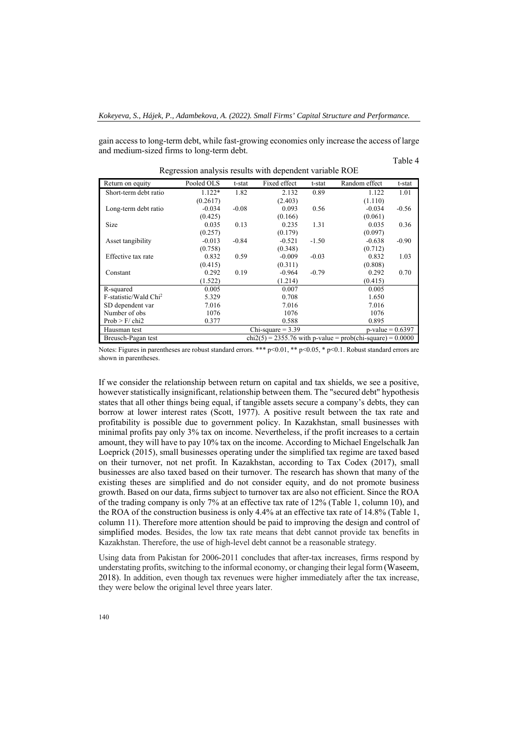gain access to long-term debt, while fast-growing economies only increase the access of large and medium-sized firms to long-term debt.

Table 4

| Return on equity                                                                    | Pooled OLS | t-stat                                     | Fixed effect | t-stat  | Random effect | t-stat  |  |
|-------------------------------------------------------------------------------------|------------|--------------------------------------------|--------------|---------|---------------|---------|--|
| Short-term debt ratio                                                               | 1.122*     | 1.82                                       | 2.132        | 0.89    | 1.122         | 1.01    |  |
|                                                                                     | (0.2617)   |                                            | (2.403)      |         | (1.110)       |         |  |
| Long-term debt ratio                                                                | $-0.034$   | $-0.08$                                    | 0.093        | 0.56    | $-0.034$      | $-0.56$ |  |
|                                                                                     | (0.425)    |                                            | (0.166)      |         | (0.061)       |         |  |
| <b>Size</b>                                                                         | 0.035      | 0.13                                       | 0.235        | 1.31    | 0.035         | 0.36    |  |
|                                                                                     | (0.257)    |                                            | (0.179)      |         | (0.097)       |         |  |
| Asset tangibility                                                                   | $-0.013$   | $-0.84$                                    | $-0.521$     | $-1.50$ | $-0.638$      | $-0.90$ |  |
|                                                                                     | (0.758)    |                                            | (0.348)      |         | (0.712)       |         |  |
| Effective tax rate                                                                  | 0.832      | 0.59                                       | $-0.009$     | $-0.03$ | 0.832         | 1.03    |  |
|                                                                                     | (0.415)    |                                            | (0.311)      |         | (0.808)       |         |  |
| Constant                                                                            | 0.292      | 0.19                                       | $-0.964$     | $-0.79$ | 0.292         | 0.70    |  |
|                                                                                     | (1.522)    |                                            | (1.214)      |         | (0.415)       |         |  |
| R-squared                                                                           | 0.005      |                                            | 0.007        |         | 0.005         |         |  |
| F-statistic/Wald Chi <sup>2</sup>                                                   | 5.329      |                                            | 0.708        |         | 1.650         |         |  |
| SD dependent var                                                                    | 7.016      |                                            | 7.016        |         | 7.016         |         |  |
| Number of obs                                                                       | 1076       |                                            | 1076         |         | 1076          |         |  |
| Prob > F/chi2                                                                       | 0.377      |                                            | 0.588        |         | 0.895         |         |  |
| Hausman test                                                                        |            | Chi-square $= 3.39$<br>$p$ -value = 0.6397 |              |         |               |         |  |
| $chi(2(5) = 2355.76$ with p-value = prob(chi-square) = 0.0000<br>Breusch-Pagan test |            |                                            |              |         |               |         |  |

Regression analysis results with dependent variable ROE

Notes: Figures in parentheses are robust standard errors. \*\*\*  $p<0.01$ , \*\*  $p<0.05$ , \*  $p<0.1$ . Robust standard errors are shown in parentheses.

If we consider the relationship between return on capital and tax shields, we see a positive, however statistically insignificant, relationship between them. The "secured debt" hypothesis states that all other things being equal, if tangible assets secure a company's debts, they can borrow at lower interest rates (Scott, 1977). A positive result between the tax rate and profitability is possible due to government policy. In Kazakhstan, small businesses with minimal profits pay only 3% tax on income. Nevertheless, if the profit increases to a certain amount, they will have to pay 10% tax on the income. According to Michael Engelschalk Jan Loeprick (2015), small businesses operating under the simplified tax regime are taxed based on their turnover, not net profit. In Kazakhstan, according to Tax Codex (2017), small businesses are also taxed based on their turnover. The research has shown that many of the existing theses are simplified and do not consider equity, and do not promote business growth. Based on our data, firms subject to turnover tax are also not efficient. Since the ROA of the trading company is only 7% at an effective tax rate of 12% (Table 1, column 10), and the ROA of the construction business is only 4.4% at an effective tax rate of 14.8% (Table 1, column 11). Therefore more attention should be paid to improving the design and control of simplified modes. Besides, the low tax rate means that debt cannot provide tax benefits in Kazakhstan. Therefore, the use of high-level debt cannot be a reasonable strategy.

Using data from Pakistan for 2006-2011 concludes that after-tax increases, firms respond by understating profits, switching to the informal economy, or changing their legal form (Waseem, 2018). In addition, even though tax revenues were higher immediately after the tax increase, they were below the original level three years later.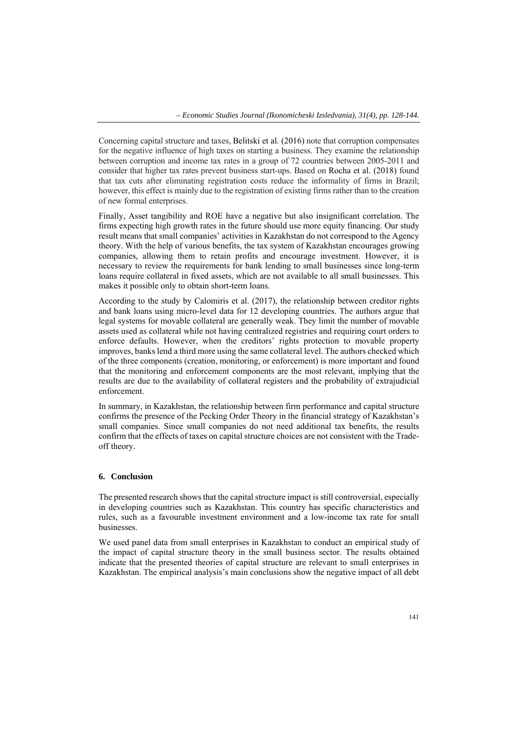Concerning capital structure and taxes, Belitski et al. (2016) note that corruption compensates for the negative influence of high taxes on starting a business. They examine the relationship between corruption and income tax rates in a group of 72 countries between 2005-2011 and consider that higher tax rates prevent business start-ups. Based on Rocha et al. (2018) found that tax cuts after eliminating registration costs reduce the informality of firms in Brazil; however, this effect is mainly due to the registration of existing firms rather than to the creation of new formal enterprises.

Finally, Asset tangibility and ROE have a negative but also insignificant correlation. The firms expecting high growth rates in the future should use more equity financing. Our study result means that small companies' activities in Kazakhstan do not correspond to the Agency theory. With the help of various benefits, the tax system of Kazakhstan encourages growing companies, allowing them to retain profits and encourage investment. However, it is necessary to review the requirements for bank lending to small businesses since long-term loans require collateral in fixed assets, which are not available to all small businesses. This makes it possible only to obtain short-term loans.

According to the study by Calomiris et al. (2017), the relationship between creditor rights and bank loans using micro-level data for 12 developing countries. The authors argue that legal systems for movable collateral are generally weak. They limit the number of movable assets used as collateral while not having centralized registries and requiring court orders to enforce defaults. However, when the creditors' rights protection to movable property improves, banks lend a third more using the same collateral level. The authors checked which of the three components (creation, monitoring, or enforcement) is more important and found that the monitoring and enforcement components are the most relevant, implying that the results are due to the availability of collateral registers and the probability of extrajudicial enforcement.

In summary, in Kazakhstan, the relationship between firm performance and capital structure confirms the presence of the Pecking Order Theory in the financial strategy of Kazakhstan's small companies. Since small companies do not need additional tax benefits, the results confirm that the effects of taxes on capital structure choices are not consistent with the Tradeoff theory.

#### **6. Conclusion**

The presented research shows that the capital structure impact is still controversial, especially in developing countries such as Kazakhstan. This country has specific characteristics and rules, such as a favourable investment environment and a low-income tax rate for small businesses.

We used panel data from small enterprises in Kazakhstan to conduct an empirical study of the impact of capital structure theory in the small business sector. The results obtained indicate that the presented theories of capital structure are relevant to small enterprises in Kazakhstan. The empirical analysis's main conclusions show the negative impact of all debt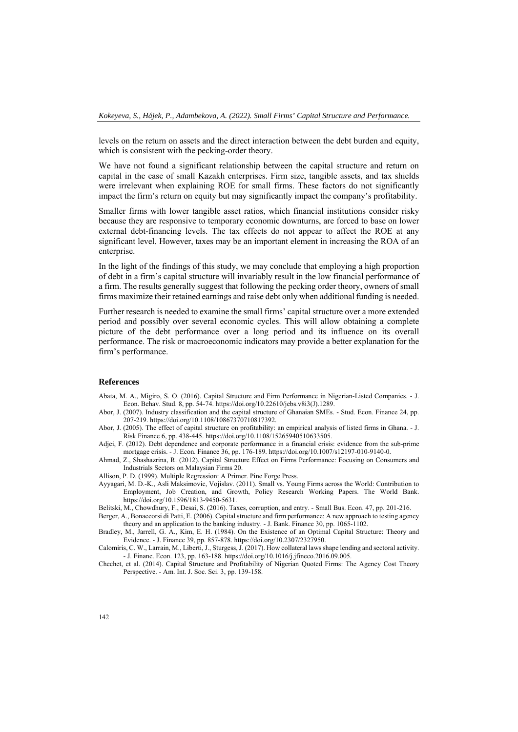levels on the return on assets and the direct interaction between the debt burden and equity, which is consistent with the pecking-order theory.

We have not found a significant relationship between the capital structure and return on capital in the case of small Kazakh enterprises. Firm size, tangible assets, and tax shields were irrelevant when explaining ROE for small firms. These factors do not significantly impact the firm's return on equity but may significantly impact the company's profitability.

Smaller firms with lower tangible asset ratios, which financial institutions consider risky because they are responsive to temporary economic downturns, are forced to base on lower external debt-financing levels. The tax effects do not appear to affect the ROE at any significant level. However, taxes may be an important element in increasing the ROA of an enterprise.

In the light of the findings of this study, we may conclude that employing a high proportion of debt in a firm's capital structure will invariably result in the low financial performance of a firm. The results generally suggest that following the pecking order theory, owners of small firms maximize their retained earnings and raise debt only when additional funding is needed.

Further research is needed to examine the small firms' capital structure over a more extended period and possibly over several economic cycles. This will allow obtaining a complete picture of the debt performance over a long period and its influence on its overall performance. The risk or macroeconomic indicators may provide a better explanation for the firm's performance.

#### **References**

- Abata, M. A., Migiro, S. O. (2016). Capital Structure and Firm Performance in Nigerian-Listed Companies. J. Econ. Behav. Stud. 8, pp. 54-74. https://doi.org/10.22610/jebs.v8i3(J).1289.
- Abor, J. (2007). Industry classification and the capital structure of Ghanaian SMEs. Stud. Econ. Finance 24, pp. 207-219. https://doi.org/10.1108/10867370710817392.
- Abor, J. (2005). The effect of capital structure on profitability: an empirical analysis of listed firms in Ghana. J. Risk Finance 6, pp. 438-445. https://doi.org/10.1108/15265940510633505.
- Adjei, F. (2012). Debt dependence and corporate performance in a financial crisis: evidence from the sub-prime mortgage crisis. - J. Econ. Finance 36, pp. 176-189. https://doi.org/10.1007/s12197-010-9140-0.
- Ahmad, Z., Shashazrina, R. (2012). Capital Structure Effect on Firms Performance: Focusing on Consumers and Industrials Sectors on Malaysian Firms 20.
- Allison, P. D. (1999). Multiple Regression: A Primer. Pine Forge Press.
- Ayyagari, M. D.-K., Asli Maksimovic, Vojislav. (2011). Small vs. Young Firms across the World: Contribution to Employment, Job Creation, and Growth, Policy Research Working Papers. The World Bank. https://doi.org/10.1596/1813-9450-5631.
- Belitski, M., Chowdhury, F., Desai, S. (2016). Taxes, corruption, and entry. Small Bus. Econ. 47, pp. 201-216.
- Berger, A., Bonaccorsi di Patti, E. (2006). Capital structure and firm performance: A new approach to testing agency theory and an application to the banking industry. - J. Bank. Finance 30, pp. 1065-1102.

Bradley, M., Jarrell, G. A., Kim, E. H. (1984). On the Existence of an Optimal Capital Structure: Theory and Evidence. - J. Finance 39, pp. 857-878. https://doi.org/10.2307/2327950.

Calomiris, C. W., Larrain, M., Liberti, J., Sturgess, J. (2017). How collateral laws shape lending and sectoral activity. - J. Financ. Econ. 123, pp. 163-188. https://doi.org/10.1016/j.jfineco.2016.09.005.

Chechet, et al. (2014). Capital Structure and Profitability of Nigerian Quoted Firms: The Agency Cost Theory Perspective. - Am. Int. J. Soc. Sci. 3, pp. 139-158.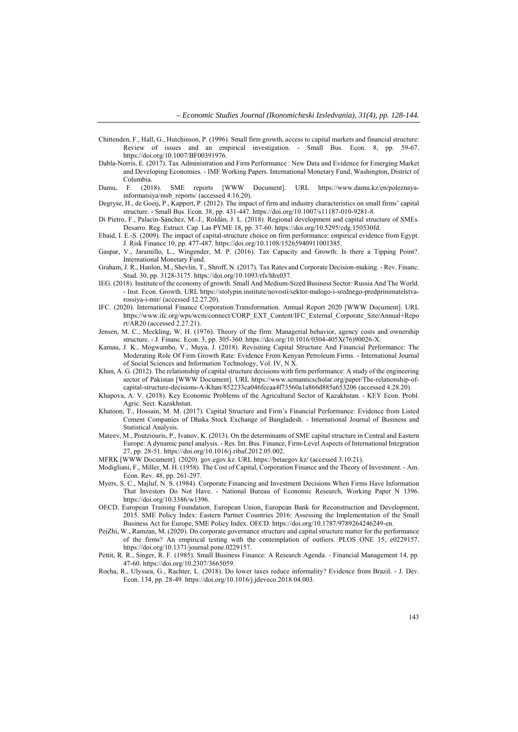- Chittenden, F., Hall, G., Hutchinson, P. (1996). Small firm growth, access to capital markets and financial structure: Review of issues and an empirical investigation. - Small Bus. Econ. 8, pp. 59-67. https://doi.org/10.1007/BF00391976.
- Dabla-Norris, E. (2017). Tax Administration and Firm Performance : New Data and Evidence for Emerging Market and Developing Economies. - IMF Working Papers. International Monetary Fund, Washington, District of Columbia.<br>F.  $(2018)$ .
- Damu, F. (2018). SME reports [WWW Document]. URL https://www.damu.kz/en/poleznayainformatsiya/msb\_reports/ (accessed 4.16.20).
- Degryse, H., de Goeij, P., Kappert, P. (2012). The impact of firm and industry characteristics on small firms' capital structure. - Small Bus. Econ. 38, pp. 431-447. https://doi.org/10.1007/s11187-010-9281-8.
- Di Pietro, F., Palacín-Sánchez, M.-J., Roldán, J. L. (2018). Regional development and capital structure of SMEs. Desarro. Reg. Estruct. Cap. Las PYME 18, pp. 37-60. https://doi.org/10.5295/cdg.150530fd.
- Ebaid, I. E.-S. (2009). The impact of capital‐structure choice on firm performance: empirical evidence from Egypt. J. Risk Finance 10, pp. 477-487. https://doi.org/10.1108/15265940911001385.
- Gaspar, V., Jaramillo, L., Wingender, M. P. (2016). Tax Capacity and Growth: Is there a Tipping Point?. International Monetary Fund.
- Graham, J. R., Hanlon, M., Shevlin, T., Shroff, N. (2017). Tax Rates and Corporate Decision-making. Rev. Financ. Stud. 30, pp. 3128-3175. https://doi.org/10.1093/rfs/hhx037.
- IEG. (2018). Institute of the economy of growth. Small And Medium-Sized Business Sector: Russia And The World. - Inst. Econ. Growth. URL https://stolypin.institute/novosti/sektor-malogo-i-srednego-predprinimatelstvarossiya-i-mir/ (accessed 12.27.20).
- IFC. (2020). International Finance Corporation.Transformation. Annual Report 2020 [WWW Document]. URL https://www.ifc.org/wps/wcm/connect/CORP\_EXT\_Content/IFC\_External\_Corporate\_Site/Annual+Repo rt/AR20 (accessed 2.27.21).
- Jensen, M. C., Meckling, W. H. (1976). Theory of the firm: Managerial behavior, agency costs and ownership structure. - J. Financ. Econ. 3, pp. 305-360. https://doi.org/10.1016/0304-405X(76)90026-X.
- Kamau, J. K., Mogwambo, V., Muya, J. (2018). Revisiting Capital Structure And Financial Performance: The Moderating Role Of Firm Growth Rate: Evidence From Kenyan Petroleum Firms. - International Journal of Social Sciences and Information Technology, Vol. IV, N X.
- Khan, A. G. (2012). The relationship of capital structure decisions with firm performance: A study of the engineering sector of Pakistan [WWW Document]. URL https://www.semanticscholar.org/paper/The-relationship-ofcapital-structure-decisions-A-Khan/852233ca046fecaa4f73560a1a866d885a653206 (accessed 4.28.20).
- Khapova, A. V. (2018). Key Economic Problems of the Agricultural Sector of Kazakhstan. KEY Econ. Probl. Agric. Sect. Kazakhstan.
- Khatoon, T., Hossain, M. M. (2017). Capital Structure and Firm's Financial Performance: Evidence from Listed Cement Companies of Dhaka Stock Exchange of Bangladesh. - International Journal of Business and Statistical Analysis.
- Mateev, M., Poutziouris, P., Ivanov, K. (2013). On the determinants of SME capital structure in Central and Eastern Europe: A dynamic panel analysis. - Res. Int. Bus. Finance, Firm-Level Aspects of International Integration 27, pp. 28-51. https://doi.org/10.1016/j.ribaf.2012.05.002.
- MFRK [WWW Document]. (2020). gov.egov.kz. URL https://betaegov.kz/ (accessed 3.10.21).
- Modigliani, F., Miller, M. H. (1958). The Cost of Capital, Corporation Finance and the Theory of Investment. Am. Econ. Rev. 48, pp. 261-297.
- Myers, S. C., Majluf, N. S. (1984). Corporate Financing and Investment Decisions When Firms Have Information That Investors Do Not Have. - National Bureau of Economic Research, Working Paper N 1396. https://doi.org/10.3386/w1396.
- OECD, European Training Foundation, European Union, European Bank for Reconstruction and Development, 2015. SME Policy Index: Eastern Partner Countries 2016: Assessing the Implementation of the Small Business Act for Europe, SME Policy Index. OECD. https://doi.org/10.1787/9789264246249-en.
- PeiZhi, W., Ramzan, M. (2020). Do corporate governance structure and capital structure matter for the performance of the firms? An empirical testing with the contemplation of outliers. PLOS ONE 15, e0229157. https://doi.org/10.1371/journal.pone.0229157.
- Pettit, R. R., Singer, R. F. (1985). Small Business Finance: A Research Agenda. Financial Management 14, pp. 47-60. https://doi.org/10.2307/3665059.
- Rocha, R., Ulyssea, G., Rachter, L. (2018). Do lower taxes reduce informality? Evidence from Brazil. J. Dev. Econ. 134, pp. 28-49. https://doi.org/10.1016/j.jdeveco.2018.04.003.